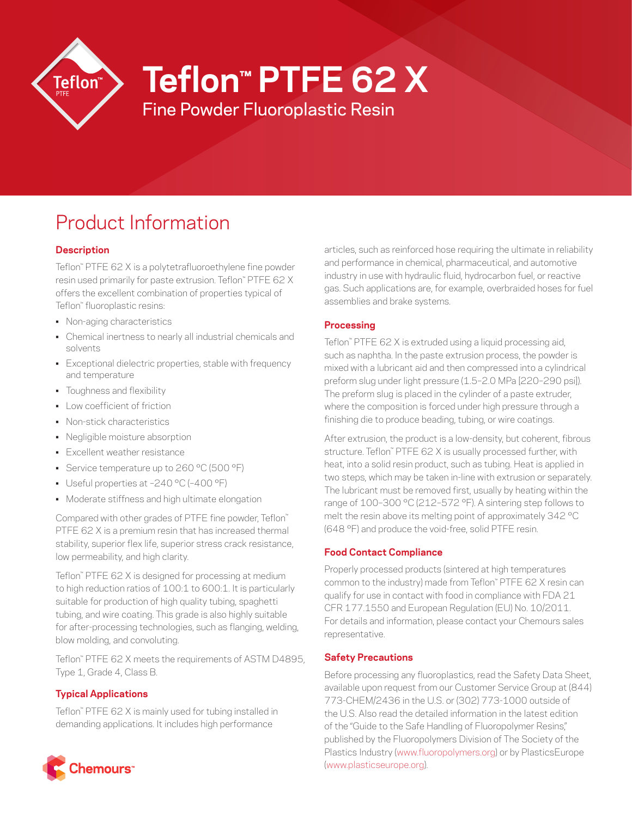

# **Teflon™ PTFE 62 X**

Fine Powder Fluoroplastic Resin

# Product Information

# **Description**

Teflon™ PTFE 62 X is a polytetrafluoroethylene fine powder resin used primarily for paste extrusion. Teflon™ PTFE 62 X offers the excellent combination of properties typical of Teflon™ fluoroplastic resins:

- Non-aging characteristics
- Chemical inertness to nearly all industrial chemicals and solvents
- Exceptional dielectric properties, stable with frequency and temperature
- Toughness and flexibility
- Low coefficient of friction
- Non-stick characteristics
- Negligible moisture absorption
- Excellent weather resistance
- Service temperature up to 260 °C (500 °F)
- Useful properties at –240 °C (–400 °F)
- Moderate stiffness and high ultimate elongation

Compared with other grades of PTFE fine powder, Teflon™ PTFE 62 X is a premium resin that has increased thermal stability, superior flex life, superior stress crack resistance, low permeability, and high clarity.

Teflon™ PTFE 62 X is designed for processing at medium to high reduction ratios of 100:1 to 600:1. It is particularly suitable for production of high quality tubing, spaghetti tubing, and wire coating. This grade is also highly suitable for after-processing technologies, such as flanging, welding, blow molding, and convoluting.

Teflon™ PTFE 62 X meets the requirements of ASTM D4895, Type 1, Grade 4, Class B.

# **Typical Applications**

Teflon™ PTFE 62 X is mainly used for tubing installed in demanding applications. It includes high performance



articles, such as reinforced hose requiring the ultimate in reliability and performance in chemical, pharmaceutical, and automotive industry in use with hydraulic fluid, hydrocarbon fuel, or reactive gas. Such applications are, for example, overbraided hoses for fuel assemblies and brake systems.

### **Processing**

Teflon™ PTFE 62 X is extruded using a liquid processing aid, such as naphtha. In the paste extrusion process, the powder is mixed with a lubricant aid and then compressed into a cylindrical preform slug under light pressure (1.5–2.0 MPa [220–290 psi]). The preform slug is placed in the cylinder of a paste extruder, where the composition is forced under high pressure through a finishing die to produce beading, tubing, or wire coatings.

After extrusion, the product is a low-density, but coherent, fibrous structure. Teflon™ PTFE 62 X is usually processed further, with heat, into a solid resin product, such as tubing. Heat is applied in two steps, which may be taken in-line with extrusion or separately. The lubricant must be removed first, usually by heating within the range of 100–300 °C (212–572 °F). A sintering step follows to melt the resin above its melting point of approximately 342 °C (648 °F) and produce the void-free, solid PTFE resin.

# **Food Contact Compliance**

Properly processed products (sintered at high temperatures common to the industry) made from Teflon™ PTFE 62 X resin can qualify for use in contact with food in compliance with FDA 21 CFR 177.1550 and European Regulation (EU) No. 10/2011. For details and information, please contact your Chemours sales representative.

# **Safety Precautions**

Before processing any fluoroplastics, read the Safety Data Sheet, available upon request from our Customer Service Group at (844) 773-CHEM/2436 in the U.S. or (302) 773-1000 outside of the U.S. Also read the detailed information in the latest edition of the "Guide to the Safe Handling of Fluoropolymer Resins," published by the Fluoropolymers Division of The Society of the Plastics Industry ([www.fluoropolymers.org\)](http://www.fluoropolymers.org) or by PlasticsEurope [\(www.plasticseurope.org](http://www.plasticseurope.org)).